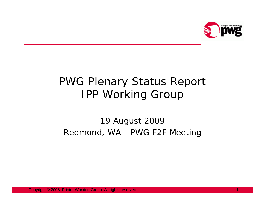

## PWG Plenary Status Report IPP Working Group

## 19 August 2009 Redmond, WA - PWG F2F Meeting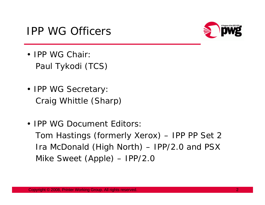



- IPP WG Chair:Paul Tykodi (TCS)
- IPP WG Secretary: Craig Whittle (Sharp)
- IPP WG Document Editors:Tom Hastings (formerly Xerox) – IPP PP Set 2 Ira McDonald (High North) – IPP/2.0 and PSX Mike Sweet (Apple) – IPP/2.0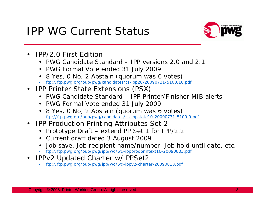## IPP WG Current Status



- • IPP/2.0 First Edition
	- PWG Candidate Standard IPP versions 2.0 and 2.1
	- PWG Formal Vote ended 31 July 2009
	- 8 Yes, 0 No, 2 Abstain (quorum was 6 votes)
	- ftp://ftp.pwg.org/pub/pwg/candidates/cs-ipp20-20090731-5100.10.pdf
- IPP Printer State Extensions (PSX)
	- PWG Candidate Standard IPP Printer/Finisher MIB alerts
	- PWG Formal Vote ended 31 July 2009
	- 8 Yes, 0 No, 2 Abstain (quorum was 6 votes)
	- ftp://ftp.pwg.org/pub/pwg/candidates/cs-ippstate10-20090731-5100.9.pdf
- IPP Production Printing Attributes Set 2
	- Prototype Draft extend PP Set 1 for IPP/2.2
	- Current draft dated 3 August 2009
	- Job save, Job recipient name/number, Job hold until date, etc.
	- ftp://ftp.pwg.org/pub/pwg/ipp/wd/wd-ippprodprintext10-20090803.pdf
- $\bullet$  IPPv2 Updated Charter w/ PPSet2
	- ftp://ftp.pwg.org/pub/pwg/ipp/wd/wd-ippv2-charter-20090813.pdf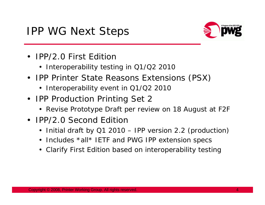## IPP WG Next Steps



- IPP/2.0 First Edition
	- Interoperability testing in Q1/Q2 2010
- IPP Printer State Reasons Extensions (PSX)
	- Interoperability event in Q1/Q2 2010
- IPP Production Printing Set 2
	- Revise Prototype Draft per review on 18 August at F2F
- IPP/2.0 Second Edition
	- Initial draft by Q1 2010 IPP version 2.2 (production)
	- Includes \*all\* IETF and PWG IPP extension specs
	- Clarify First Edition based on interoperability testing